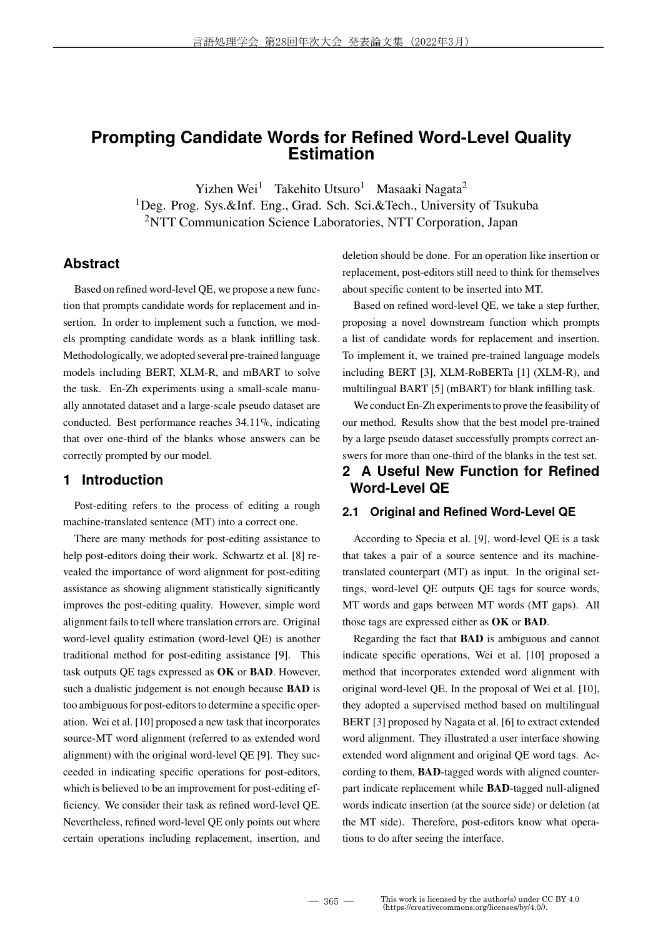# **Prompting Candidate Words for Refined Word-Level Quality Estimation**

Yizhen Wei<sup>1</sup> Takehito Utsuro<sup>1</sup> Masaaki Nagata<sup>2</sup>

<sup>1</sup>Deg. Prog. Sys.&Inf. Eng., Grad. Sch. Sci.&Tech., University of Tsukuba <sup>2</sup>NTT Communication Science Laboratories, NTT Corporation, Japan

### **Abstract**

Based on refined word-level QE, we propose a new function that prompts candidate words for replacement and insertion. In order to implement such a function, we models prompting candidate words as a blank infilling task. Methodologically, we adopted several pre-trained language models including BERT, XLM-R, and mBART to solve the task. En-Zh experiments using a small-scale manually annotated dataset and a large-scale pseudo dataset are conducted. Best performance reaches 34.11%, indicating that over one-third of the blanks whose answers can be correctly prompted by our model.

## **1 Introduction**

Post-editing refers to the process of editing a rough machine-translated sentence (MT) into a correct one.

There are many methods for post-editing assistance to help post-editors doing their work. Schwartz et al. [8] revealed the importance of word alignment for post-editing assistance as showing alignment statistically significantly improves the post-editing quality. However, simple word alignment fails to tell where translation errors are. Original word-level quality estimation (word-level QE) is another traditional method for post-editing assistance [9]. This task outputs QE tags expressed as **OK** or **BAD**. However, such a dualistic judgement is not enough because **BAD** is too ambiguous for post-editors to determine a specific operation. Wei et al. [10] proposed a new task that incorporates source-MT word alignment (referred to as extended word alignment) with the original word-level QE [9]. They succeeded in indicating specific operations for post-editors, which is believed to be an improvement for post-editing efficiency. We consider their task as refined word-level QE. Nevertheless, refined word-level QE only points out where certain operations including replacement, insertion, and deletion should be done. For an operation like insertion or replacement, post-editors still need to think for themselves about specific content to be inserted into MT.

Based on refined word-level QE, we take a step further, proposing a novel downstream function which prompts a list of candidate words for replacement and insertion. To implement it, we trained pre-trained language models including BERT [3], XLM-RoBERTa [1] (XLM-R), and multilingual BART [5] (mBART) for blank infilling task.

We conduct En-Zh experiments to prove the feasibility of our method. Results show that the best model pre-trained by a large pseudo dataset successfully prompts correct answers for more than one-third of the blanks in the test set.

# **2 A Useful New Function for Refined Word-Level QE**

### **2.1 Original and Refined Word-Level QE**

According to Specia et al. [9], word-level QE is a task that takes a pair of a source sentence and its machinetranslated counterpart (MT) as input. In the original settings, word-level QE outputs QE tags for source words, MT words and gaps between MT words (MT gaps). All those tags are expressed either as **OK** or **BAD**.

Regarding the fact that **BAD** is ambiguous and cannot indicate specific operations, Wei et al. [10] proposed a method that incorporates extended word alignment with original word-level QE. In the proposal of Wei et al. [10], they adopted a supervised method based on multilingual BERT [3] proposed by Nagata et al. [6] to extract extended word alignment. They illustrated a user interface showing extended word alignment and original QE word tags. According to them, **BAD**-tagged words with aligned counterpart indicate replacement while **BAD**-tagged null-aligned words indicate insertion (at the source side) or deletion (at the MT side). Therefore, post-editors know what operations to do after seeing the interface.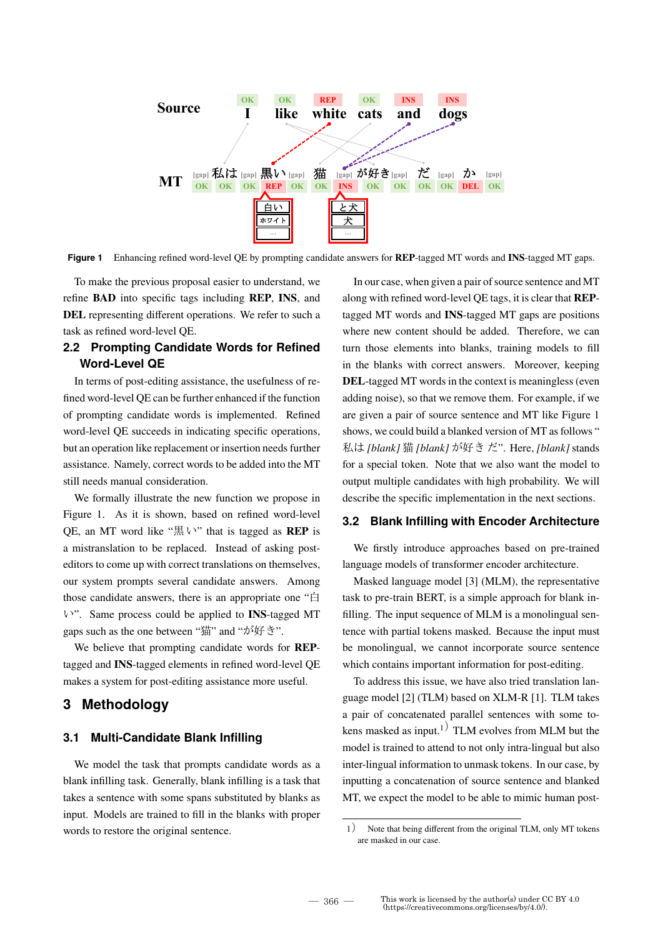

**Figure 1** Enhancing refined word-level QE by prompting candidate answers for **REP**-tagged MT words and **INS**-tagged MT gaps.

To make the previous proposal easier to understand, we refine **BAD** into specific tags including **REP**, **INS**, and **DEL** representing different operations. We refer to such a task as refined word-level QE.

# **2.2 Prompting Candidate Words for Refined Word-Level QE**

In terms of post-editing assistance, the usefulness of refined word-level QE can be further enhanced if the function of prompting candidate words is implemented. Refined word-level QE succeeds in indicating specific operations, but an operation like replacement or insertion needs further assistance. Namely, correct words to be added into the MT still needs manual consideration.

We formally illustrate the new function we propose in Figure 1. As it is shown, based on refined word-level QE, an MT word like "黒 い" that is tagged as **REP** is a mistranslation to be replaced. Instead of asking posteditors to come up with correct translations on themselves, our system prompts several candidate answers. Among those candidate answers, there is an appropriate one "白 い". Same process could be applied to **INS**-tagged MT gaps such as the one between "猫" and "が好き".

We believe that prompting candidate words for **REP**tagged and **INS**-tagged elements in refined word-level QE makes a system for post-editing assistance more useful.

# **3 Methodology**

### **3.1 Multi-Candidate Blank Infilling**

We model the task that prompts candidate words as a blank infilling task. Generally, blank infilling is a task that takes a sentence with some spans substituted by blanks as input. Models are trained to fill in the blanks with proper words to restore the original sentence.

In our case, when given a pair of source sentence and MT along with refined word-level QE tags, it is clear that **REP**tagged MT words and **INS**-tagged MT gaps are positions where new content should be added. Therefore, we can turn those elements into blanks, training models to fill in the blanks with correct answers. Moreover, keeping **DEL**-tagged MT words in the context is meaningless (even adding noise), so that we remove them. For example, if we are given a pair of source sentence and MT like Figure 1 shows, we could build a blanked version of MT as follows " 私は *[blank]* 猫 *[blank]* が好き だ". Here, *[blank]* stands for a special token. Note that we also want the model to output multiple candidates with high probability. We will describe the specific implementation in the next sections.

#### **3.2 Blank Infilling with Encoder Architecture**

We firstly introduce approaches based on pre-trained language models of transformer encoder architecture.

Masked language model [3] (MLM), the representative task to pre-train BERT, is a simple approach for blank infilling. The input sequence of MLM is a monolingual sentence with partial tokens masked. Because the input must be monolingual, we cannot incorporate source sentence which contains important information for post-editing.

To address this issue, we have also tried translation language model [2] (TLM) based on XLM-R [1]. TLM takes a pair of concatenated parallel sentences with some tokens masked as input.<sup>1)</sup> TLM evolves from MLM but the model is trained to attend to not only intra-lingual but also inter-lingual information to unmask tokens. In our case, by inputting a concatenation of source sentence and blanked MT, we expect the model to be able to mimic human post-

<sup>1</sup>) Note that being different from the original TLM, only MT tokens are masked in our case.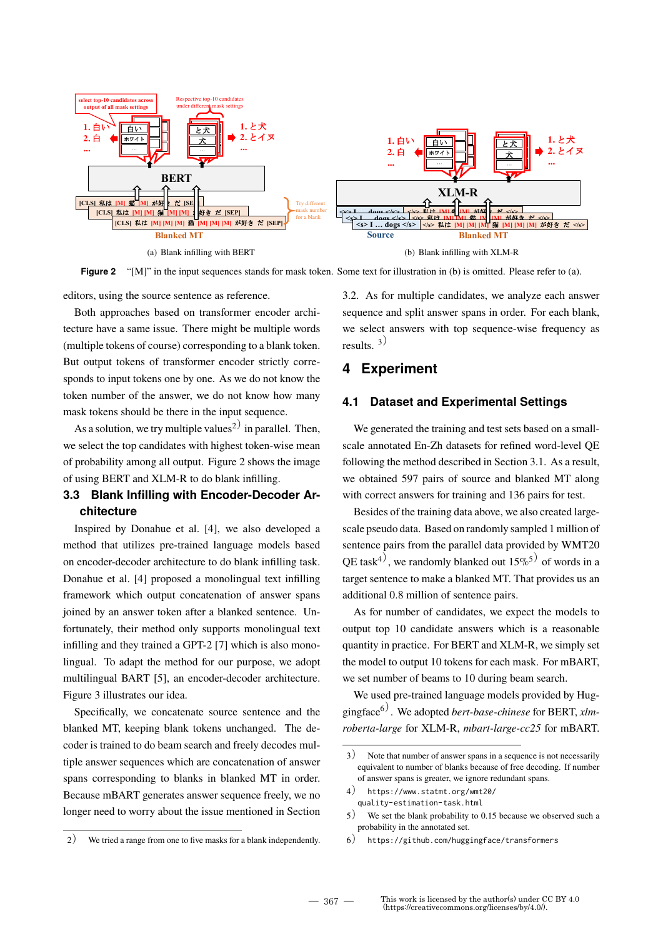

Figure 2 "[M]" in the input sequences stands for mask token. Some text for illustration in (b) is omitted. Please refer to (a).

editors, using the source sentence as reference.

Both approaches based on transformer encoder architecture have a same issue. There might be multiple words (multiple tokens of course) corresponding to a blank token. But output tokens of transformer encoder strictly corresponds to input tokens one by one. As we do not know the token number of the answer, we do not know how many mask tokens should be there in the input sequence.

As a solution, we try multiple values<sup>2)</sup> in parallel. Then, we select the top candidates with highest token-wise mean of probability among all output. Figure 2 shows the image of using BERT and XLM-R to do blank infilling.

# 3.3 Blank Infilling with Encoder-Decoder Architecture

Inspired by Donahue et al. [4], we also developed a method that utilizes pre-trained language models based on encoder-decoder architecture to do blank infilling task. Donahue et al. [4] proposed a monolingual text infilling framework which output concatenation of answer spans joined by an answer token after a blanked sentence. Unfortunately, their method only supports monolingual text infilling and they trained a GPT-2 [7] which is also monolingual. To adapt the method for our purpose, we adopt multilingual BART [5], an encoder-decoder architecture. Figure 3 illustrates our idea.

Specifically, we concatenate source sentence and the blanked MT, keeping blank tokens unchanged. The decoder is trained to do beam search and freely decodes multiple answer sequences which are concatenation of answer spans corresponding to blanks in blanked MT in order. Because mBART generates answer sequence freely, we no longer need to worry about the issue mentioned in Section

 $2)$ We tried a range from one to five masks for a blank independently. 3.2. As for multiple candidates, we analyze each answer sequence and split answer spans in order. For each blank, we select answers with top sequence-wise frequency as results.  $3^{3}$ 

# 4 Experiment

#### **Dataset and Experimental Settings**  $4.1$

We generated the training and test sets based on a smallscale annotated En-Zh datasets for refined word-level QE following the method described in Section 3.1. As a result, we obtained 597 pairs of source and blanked MT along with correct answers for training and 136 pairs for test.

Besides of the training data above, we also created largescale pseudo data. Based on randomly sampled 1 million of sentence pairs from the parallel data provided by WMT20 OE task<sup>4)</sup>, we randomly blanked out  $15\%^{5}$  of words in a target sentence to make a blanked MT. That provides us an additional 0.8 million of sentence pairs.

As for number of candidates, we expect the models to output top 10 candidate answers which is a reasonable quantity in practice. For BERT and XLM-R, we simply set the model to output 10 tokens for each mask. For mBART, we set number of beams to 10 during beam search.

We used pre-trained language models provided by Huggingface<sup>6)</sup>. We adopted *bert-base-chinese* for BERT, xlmroberta-large for XLM-R, mbart-large-cc25 for mBART.

 $\left(3\right)$ Note that number of answer spans in a sequence is not necessarily equivalent to number of blanks because of free decoding. If number of answer spans is greater, we ignore redundant spans.

 $4)$ https://www.statmt.org/wmt20/ quality-estimation-task.html

 $\mathfrak{s}$ ) We set the blank probability to 0.15 because we observed such a probability in the annotated set.

<sup>6)</sup> https://github.com/huggingface/transformers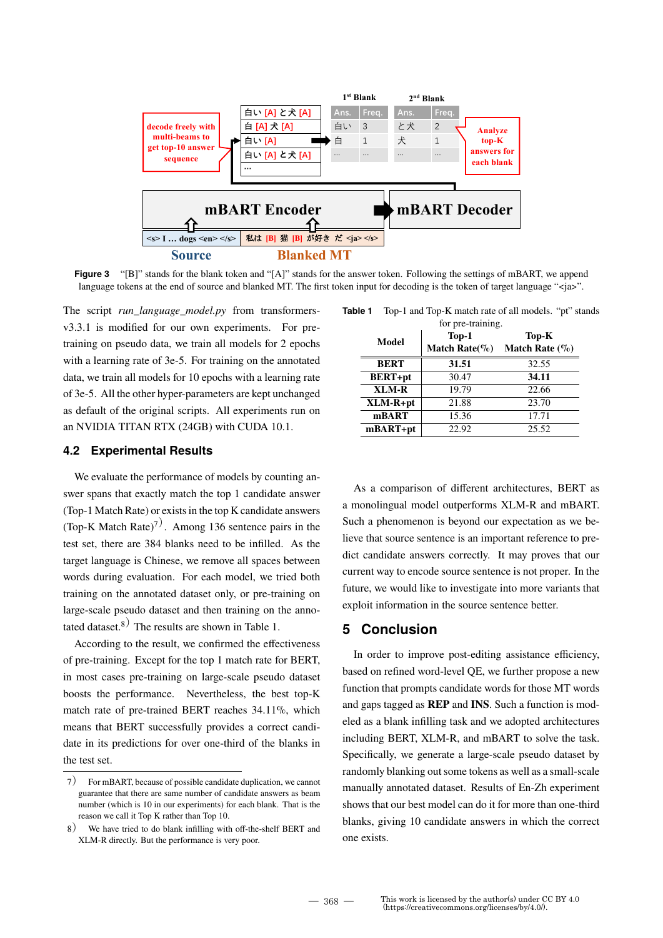

**Figure 3** "[B]" stands for the blank token and "[A]" stands for the answer token. Following the settings of mBART, we append language tokens at the end of source and blanked MT. The first token input for decoding is the token of target language " $\langle i \rangle$  ="

The script *run\_language\_model.py* from transformersv3.3.1 is modified for our own experiments. For pretraining on pseudo data, we train all models for 2 epochs with a learning rate of 3e-5. For training on the annotated data, we train all models for 10 epochs with a learning rate of 3e-5. All the other hyper-parameters are kept unchanged as default of the original scripts. All experiments run on an NVIDIA TITAN RTX (24GB) with CUDA 10.1.

### **4.2 Experimental Results**

We evaluate the performance of models by counting answer spans that exactly match the top 1 candidate answer (Top-1 Match Rate) or exists in the top K candidate answers (Top-K Match Rate)<sup>7)</sup>. Among 136 sentence pairs in the test set, there are 384 blanks need to be infilled. As the target language is Chinese, we remove all spaces between words during evaluation. For each model, we tried both training on the annotated dataset only, or pre-training on large-scale pseudo dataset and then training on the annotated dataset.<sup>8)</sup> The results are shown in Table 1.

According to the result, we confirmed the effectiveness of pre-training. Except for the top 1 match rate for BERT, in most cases pre-training on large-scale pseudo dataset boosts the performance. Nevertheless, the best top-K match rate of pre-trained BERT reaches 34.11%, which means that BERT successfully provides a correct candidate in its predictions for over one-third of the blanks in the test set.

| for pre-training. |                    |                   |
|-------------------|--------------------|-------------------|
| Model             | Top-1              | Top-K             |
|                   | Match Rate( $\%$ ) | Match Rate $(\%)$ |
| <b>BERT</b>       | 31.51              | 32.55             |
| <b>BERT+pt</b>    | 30.47              | 34.11             |
| XLM-R             | 19.79              | 22.66             |
| $XLM-R+pt$        | 21.88              | 23.70             |
| mBART             | 15.36              | 17.71             |
| $mBART+pt$        | 22.92              | 25.52             |

**Table 1** Top-1 and Top-K match rate of all models. "pt" stands

As a comparison of different architectures, BERT as a monolingual model outperforms XLM-R and mBART. Such a phenomenon is beyond our expectation as we believe that source sentence is an important reference to predict candidate answers correctly. It may proves that our current way to encode source sentence is not proper. In the future, we would like to investigate into more variants that exploit information in the source sentence better.

# **5 Conclusion**

In order to improve post-editing assistance efficiency, based on refined word-level QE, we further propose a new function that prompts candidate words for those MT words and gaps tagged as **REP** and **INS**. Such a function is modeled as a blank infilling task and we adopted architectures including BERT, XLM-R, and mBART to solve the task. Specifically, we generate a large-scale pseudo dataset by randomly blanking out some tokens as well as a small-scale manually annotated dataset. Results of En-Zh experiment shows that our best model can do it for more than one-third blanks, giving 10 candidate answers in which the correct one exists.

<sup>7</sup>) For mBART, because of possible candidate duplication, we cannot guarantee that there are same number of candidate answers as beam number (which is 10 in our experiments) for each blank. That is the reason we call it Top K rather than Top 10.

<sup>8</sup>) We have tried to do blank infilling with off-the-shelf BERT and XLM-R directly. But the performance is very poor.